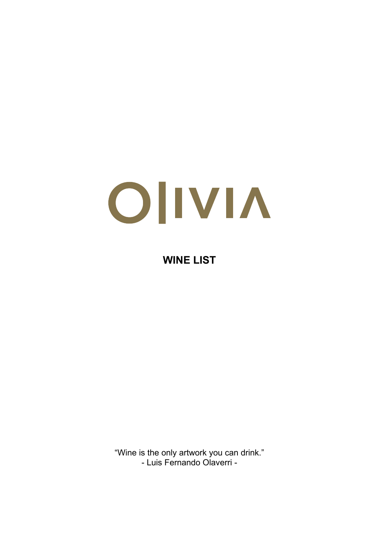# OIIVIA

#### **WINE LIST**

"Wine is the only artwork you can drink." - Luis Fernando Olaverri -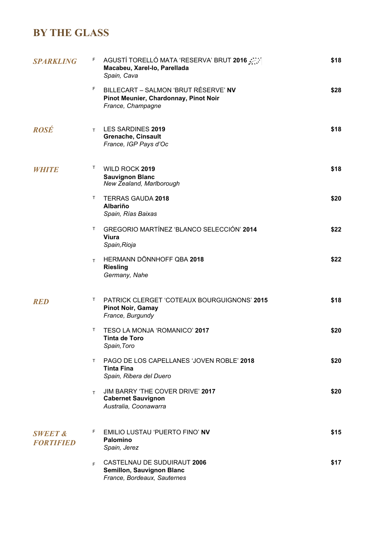## **BY THE GLASS**

| <b>SPARKLING</b>                       | AGUSTÍ TORELLÓ MATA 'RESERVA' BRUT 2016 AV<br>F<br>Macabeu, Xarel-lo, Parellada<br>Spain, Cava           | \$18 |
|----------------------------------------|----------------------------------------------------------------------------------------------------------|------|
|                                        | F.<br>BILLECART - SALMON 'BRUT RÉSERVE' NV<br>Pinot Meunier, Chardonnay, Pinot Noir<br>France, Champagne | \$28 |
| <b>ROSÉ</b>                            | T LES SARDINES 2019<br><b>Grenache, Cinsault</b><br>France, IGP Pays d'Oc                                | \$18 |
| <i>WHITE</i>                           | T.<br>WILD ROCK 2019<br><b>Sauvignon Blanc</b><br>New Zealand, Marlborough                               | \$18 |
|                                        | Т<br><b>TERRAS GAUDA 2018</b><br><b>Albariño</b><br>Spain, Rías Baixas                                   | \$20 |
|                                        | GREGORIO MARTÍNEZ 'BLANCO SELECCIÓN' 2014<br>T.<br><b>Viura</b><br>Spain, Rioja                          | \$22 |
|                                        | HERMANN DÖNNHOFF QBA 2018<br>T.<br><b>Riesling</b><br>Germany, Nahe                                      | \$22 |
| <b>RED</b>                             | PATRICK CLERGET 'COTEAUX BOURGUIGNONS' 2015<br>T.<br><b>Pinot Noir, Gamay</b><br>France, Burgundy        | \$18 |
|                                        | TESO LA MONJA 'ROMANICO' 2017<br>Τ<br><b>Tinta de Toro</b><br>Spain, Toro                                | \$20 |
|                                        | <b>PAGO DE LOS CAPELLANES 'JOVEN ROBLE' 2018</b><br>T.<br>Tinta Fina<br>Spain, Ribera del Duero          | \$20 |
|                                        | JIM BARRY 'THE COVER DRIVE' 2017<br>T.<br><b>Cabernet Sauvignon</b><br>Australia, Coonawarra             | \$20 |
| <b>SWEET &amp;</b><br><b>FORTIFIED</b> | F.<br>EMILIO LUSTAU 'PUERTO FINO' NV<br>Palomino<br>Spain, Jerez                                         | \$15 |
|                                        | CASTELNAU DE SUDUIRAUT 2006<br>F.<br>Semillon, Sauvignon Blanc<br>France, Bordeaux, Sauternes            | \$17 |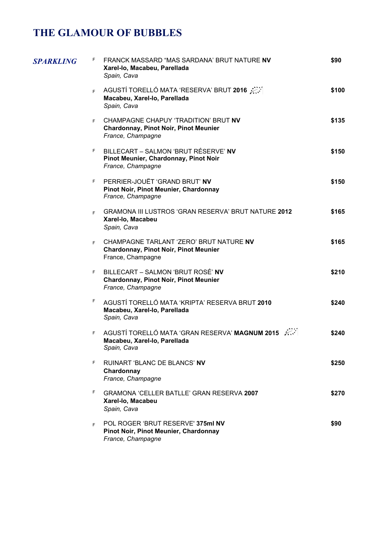# **THE GLAMOUR OF BUBBLES**

| SPARKLING | F. | FRANCK MASSARD "MAS SARDANA' BRUT NATURE NV<br>Xarel-lo, Macabeu, Parellada<br>Spain, Cava                   | \$90  |
|-----------|----|--------------------------------------------------------------------------------------------------------------|-------|
|           | F. | AGUSTÍ TORELLÓ MATA 'RESERVA' BRUT 2016<br>Macabeu, Xarel-lo, Parellada<br>Spain, Cava                       | \$100 |
|           | F. | CHAMPAGNE CHAPUY 'TRADITION' BRUT NV<br><b>Chardonnay, Pinot Noir, Pinot Meunier</b><br>France, Champagne    | \$135 |
|           | F. | BILLECART - SALMON 'BRUT RÉSERVE' NV<br>Pinot Meunier, Chardonnay, Pinot Noir<br>France, Champagne           | \$150 |
|           | F  | PERRIER-JOUËT 'GRAND BRUT' NV<br>Pinot Noir, Pinot Meunier, Chardonnay<br>France, Champagne                  | \$150 |
|           |    | F GRAMONA III LUSTROS 'GRAN RESERVA' BRUT NATURE 2012<br>Xarel-lo, Macabeu<br>Spain, Cava                    | \$165 |
|           | F. | CHAMPAGNE TARLANT 'ZERO' BRUT NATURE NV<br><b>Chardonnay, Pinot Noir, Pinot Meunier</b><br>France, Champagne | \$165 |
|           | F. | BILLECART - SALMON 'BRUT ROSÉ' NV<br><b>Chardonnay, Pinot Noir, Pinot Meunier</b><br>France, Champagne       | \$210 |
|           | F  | AGUSTÍ TORELLÓ MATA 'KRIPTA' RESERVA BRUT 2010<br>Macabeu, Xarel-lo, Parellada<br>Spain, Cava                | \$240 |
|           | F. | AGUSTÍ TORELLÓ MATA 'GRAN RESERVA' MAGNUM 2015<br>Macabeu, Xarel-lo, Parellada<br>Spain, Cava                | \$240 |
|           | F  | RUINART 'BLANC DE BLANCS' NV<br>Chardonnay<br>France, Champagne                                              | \$250 |
|           | F  | GRAMONA 'CELLER BATLLE' GRAN RESERVA 2007<br>Xarel-lo, Macabeu<br>Spain, Cava                                | \$270 |
|           | F. | POL ROGER 'BRUT RESERVE' 375ml NV<br>Pinot Noir, Pinot Meunier, Chardonnay<br>France, Champagne              | \$90  |
|           |    |                                                                                                              |       |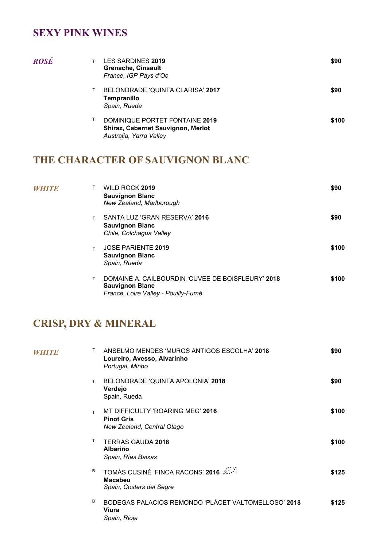#### **SEXY PINK WINES**

| ROSÉ |   | <b>LES SARDINES 2019</b><br><b>Grenache, Cinsault</b><br>France, IGP Pays d'Oc                         | \$90  |
|------|---|--------------------------------------------------------------------------------------------------------|-------|
|      |   | BELONDRADE 'QUINTA CLARISA' 2017<br>Tempranillo<br>Spain, Rueda                                        | \$90  |
|      | т | DOMINIQUE PORTET FONTAINE 2019<br><b>Shiraz, Cabernet Sauvignon, Merlot</b><br>Australia, Yarra Valley | \$100 |

#### **THE CHARACTER OF SAUVIGNON BLANC**

| <i>WHITE</i> |    | WILD ROCK 2019<br><b>Sauvignon Blanc</b><br>New Zealand, Marlborough                                               | \$90  |
|--------------|----|--------------------------------------------------------------------------------------------------------------------|-------|
|              | T. | SANTA LUZ 'GRAN RESERVA' 2016<br><b>Sauvignon Blanc</b><br>Chile, Colchagua Valley                                 | \$90  |
|              | T. | <b>JOSE PARIENTE 2019</b><br><b>Sauvignon Blanc</b><br>Spain, Rueda                                                | \$100 |
|              | T  | DOMAINE A. CAILBOURDIN 'CUVEE DE BOISFLEURY' 2018<br><b>Sauvignon Blanc</b><br>France, Loire Valley - Pouilly-Fumé | \$100 |

#### **CRISP, DRY & MINERAL**

| <i>WHITE</i> | T.<br>ANSELMO MENDES 'MUROS ANTIGOS ESCOLHA' 2018<br>Loureiro, Avesso, Alvarinho<br>Portugal, Minho | \$90  |
|--------------|-----------------------------------------------------------------------------------------------------|-------|
|              | BELONDRADE 'QUINTA APOLONIA' 2018<br>T.<br>Verdejo<br>Spain, Rueda                                  | \$90  |
|              | MT DIFFICULTY 'ROARING MEG' 2016<br>T<br><b>Pinot Gris</b><br>New Zealand, Central Otago            | \$100 |
|              | T.<br><b>TERRAS GAUDA 2018</b><br><b>Albariño</b><br>Spain, Rías Baixas                             | \$100 |
|              | TOMÀS CUSINÉ 'FINCA RACONS' 2016<br>B<br><b>Macabeu</b><br>Spain, Costers del Segre                 | \$125 |
|              | B<br>BODEGAS PALACIOS REMONDO 'PLÁCET VALTOMELLOSO' 2018<br>Viura<br>Spain, Rioja                   | \$125 |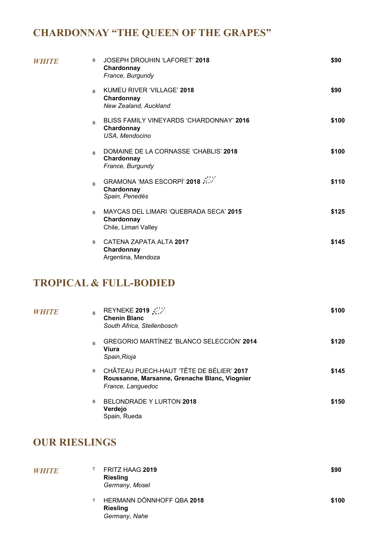# **CHARDONNAY "THE QUEEN OF THE GRAPES"**

| WHITE | <b>JOSEPH DROUHIN 'LAFORET' 2018</b><br>B<br>Chardonnay<br>France, Burgundy              | \$90  |
|-------|------------------------------------------------------------------------------------------|-------|
|       | KUMEU RIVER 'VILLAGE' 2018<br>$\overline{B}$<br>Chardonnay<br>New Zealand, Auckland      | \$90  |
|       | BLISS FAMILY VINEYARDS 'CHARDONNAY' 2016<br>$\mathsf{B}$<br>Chardonnay<br>USA, Mendocino | \$100 |
|       | DOMAINE DE LA CORNASSE 'CHABLIS' 2018<br>R.<br>Chardonnay<br>France, Burgundy            | \$100 |
|       | GRAMONA 'MAS ESCORPÍ' 2018<br>$\overline{B}$<br>Chardonnay<br>Spain, Penedès             | \$110 |
|       | MAYCAS DEL LIMARI 'QUEBRADA SECA' 2015<br>B<br>Chardonnay<br>Chile, Limari Valley        | \$125 |
|       | CATENA ZAPATA ALTA 2017<br>B<br>Chardonnay<br>Argentina, Mendoza                         | \$145 |

#### **TROPICAL & FULL-BODIED**

| WHITE | REYNEKE 2019 22<br>B<br><b>Chenin Blanc</b><br>South Africa, Stellenbosch                                           | \$100 |
|-------|---------------------------------------------------------------------------------------------------------------------|-------|
|       | GREGORIO MARTÍNEZ 'BLANCO SELECCIÓN' 2014<br>B<br>Viura<br>Spain, Rioja                                             | \$120 |
|       | CHÂTEAU PUECH-HAUT 'TÊTE DE BÉLIER' 2017<br>B<br>Roussanne, Marsanne, Grenache Blanc, Viognier<br>France, Languedoc | \$145 |
|       | <b>BELONDRADE Y LURTON 2018</b><br>B<br>Verdejo<br>Spain, Rueda                                                     | \$150 |

#### **OUR RIESLINGS**

| <i>WHITE</i> | FRITZ HAAG 2019<br><b>Riesling</b><br>Germany, Mosel          |  | \$90  |
|--------------|---------------------------------------------------------------|--|-------|
|              | HERMANN DÖNNHOFF QBA 2018<br><b>Riesling</b><br>Germany, Nahe |  | \$100 |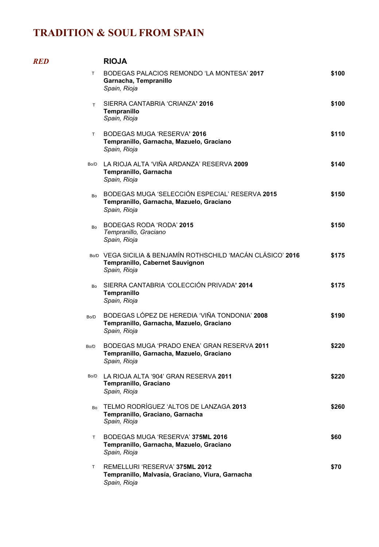*RED* **RIOJA**

|           | <b>RIOJA</b>                                                                                                    |       |
|-----------|-----------------------------------------------------------------------------------------------------------------|-------|
| T.        | BODEGAS PALACIOS REMONDO 'LA MONTESA' 2017<br>Garnacha, Tempranillo<br>Spain, Rioja                             | \$100 |
| T.        | SIERRA CANTABRIA 'CRIANZA' 2016<br>Tempranillo<br>Spain, Rioja                                                  | \$100 |
| T.        | BODEGAS MUGA 'RESERVA' 2016<br>Tempranillo, Garnacha, Mazuelo, Graciano<br>Spain, Rioja                         | \$110 |
| Bo/D      | LA RIOJA ALTA 'VIÑA ARDANZA' RESERVA 2009<br>Tempranillo, Garnacha<br>Spain, Rioja                              | \$140 |
| <b>Bo</b> | BODEGAS MUGA 'SELECCIÓN ESPECIAL' RESERVA 2015<br>Tempranillo, Garnacha, Mazuelo, Graciano<br>Spain, Rioja      | \$150 |
| Bo        | BODEGAS RODA 'RODA' 2015<br>Tempranillo, Graciano<br>Spain, Rioja                                               | \$150 |
|           | BO/D VEGA SICILIA & BENJAMÍN ROTHSCHILD 'MACÁN CLÁSICO' 2016<br>Tempranillo, Cabernet Sauvignon<br>Spain, Rioja | \$175 |
| Bo        | SIERRA CANTABRIA 'COLECCIÓN PRIVADA' 2014<br>Tempranillo<br>Spain, Rioja                                        | \$175 |
| Bo/D      | BODEGAS LÓPEZ DE HEREDIA 'VIÑA TONDONIA' 2008<br>Tempranillo, Garnacha, Mazuelo, Graciano<br>Spain, Rioja       | \$190 |
| Bo/D      | BODEGAS MUGA 'PRADO ENEA' GRAN RESERVA 2011<br>Tempranillo, Garnacha, Mazuelo, Graciano<br>Spain, Rioja         | \$220 |
| Bo/D      | LA RIOJA ALTA '904' GRAN RESERVA 2011<br>Tempranillo, Graciano<br>Spain, Rioja                                  | \$220 |
| Bo        | TELMO RODRÍGUEZ 'ALTOS DE LANZAGA 2013<br>Tempranillo, Graciano, Garnacha<br>Spain, Rioja                       | \$260 |
| T.        | BODEGAS MUGA 'RESERVA' 375ML 2016<br>Tempranillo, Garnacha, Mazuelo, Graciano<br>Spain, Rioja                   | \$60  |
| T.        | REMELLURI 'RESERVA' 375ML 2012<br>Tempranillo, Malvasía, Graciano, Viura, Garnacha<br>Spain, Rioja              | \$70  |
|           |                                                                                                                 |       |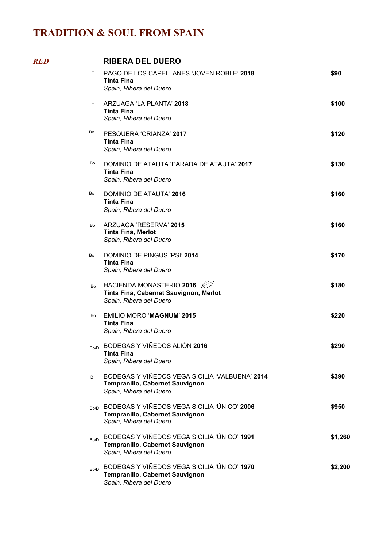$RED$ 

|      | <b>RIBERA DEL DUERO</b>                                                                                        |         |
|------|----------------------------------------------------------------------------------------------------------------|---------|
| T.   | PAGO DE LOS CAPELLANES 'JOVEN ROBLE' 2018<br>Tinta Fina<br>Spain, Ribera del Duero                             | \$90    |
| T.   | ARZUAGA 'LA PLANTA' 2018<br><b>Tinta Fina</b><br>Spain, Ribera del Duero                                       | \$100   |
| Bo   | PESQUERA 'CRIANZA' 2017<br><b>Tinta Fina</b><br>Spain, Ribera del Duero                                        | \$120   |
| Bo   | DOMINIO DE ATAUTA 'PARADA DE ATAUTA' 2017<br>Tinta Fina<br>Spain, Ribera del Duero                             | \$130   |
| Bo   | DOMINIO DE ATAUTA' 2016<br><b>Tinta Fina</b><br>Spain, Ribera del Duero                                        | \$160   |
| Bo   | ARZUAGA 'RESERVA' 2015<br><b>Tinta Fina, Merlot</b><br>Spain, Ribera del Duero                                 | \$160   |
| Bo   | DOMINIO DE PINGUS 'PSI' 2014<br><b>Tinta Fina</b><br>Spain, Ribera del Duero                                   | \$170   |
| Bo   | HACIENDA MONASTERIO 2016<br>Tinta Fina, Cabernet Sauvignon, Merlot<br>Spain, Ribera del Duero                  | \$180   |
| Bo   | <b>EMILIO MORO 'MAGNUM' 2015</b><br><b>Tinta Fina</b><br>Spain, Ribera del Duero                               | \$220   |
| Bo/D | BODEGAS Y VIÑEDOS ALIÓN 2016<br><b>Tinta Fina</b><br>Spain, Ribera del Duero                                   | \$290   |
| В    | BODEGAS Y VIÑEDOS VEGA SICILIA 'VALBUENA' 2014<br>Tempranillo, Cabernet Sauvignon<br>Spain, Ribera del Duero   | \$390   |
|      | BO/D BODEGAS Y VIÑEDOS VEGA SICILIA 'ÚNICO' 2006<br>Tempranillo, Cabernet Sauvignon<br>Spain, Ribera del Duero | \$950   |
| Bo/D | BODEGAS Y VIÑEDOS VEGA SICILIA 'ÚNICO' 1991<br>Tempranillo, Cabernet Sauvignon<br>Spain, Ribera del Duero      | \$1,260 |
| Bo/D | BODEGAS Y VIÑEDOS VEGA SICILIA 'ÚNICO' 1970<br>Tempranillo, Cabernet Sauvignon<br>Spain, Ribera del Duero      | \$2,200 |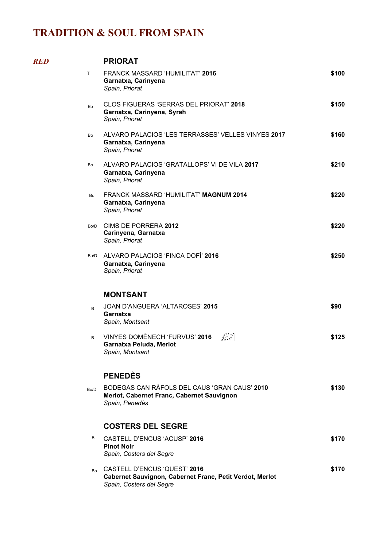$RED$ 

|           | <b>PRIORAT</b>                                                                                                       |       |
|-----------|----------------------------------------------------------------------------------------------------------------------|-------|
| T.        | <b>FRANCK MASSARD 'HUMILITAT' 2016</b><br>Garnatxa, Carinyena<br>Spain, Priorat                                      | \$100 |
| <b>Bo</b> | <b>CLOS FIGUERAS 'SERRAS DEL PRIORAT' 2018</b><br>Garnatxa, Carinyena, Syrah<br>Spain, Priorat                       | \$150 |
| Bo        | ALVARO PALACIOS 'LES TERRASSES' VELLES VINYES 2017<br>Garnatxa, Carinyena<br>Spain, Priorat                          | \$160 |
| Bo        | ALVARO PALACIOS 'GRATALLOPS' VI DE VILA 2017<br>Garnatxa, Carinyena<br>Spain, Priorat                                | \$210 |
| Bo        | FRANCK MASSARD 'HUMILITAT' MAGNUM 2014<br>Garnatxa, Carinyena<br>Spain, Priorat                                      | \$220 |
| Bo/D      | CIMS DE PORRERA 2012<br>Carinyena, Garnatxa<br>Spain, Priorat                                                        | \$220 |
| Bo/D      | ALVARO PALACIOS 'FINCA DOFÍ' 2016<br>Garnatxa, Carinyena<br>Spain, Priorat                                           | \$250 |
|           | <b>MONTSANT</b>                                                                                                      |       |
| B         | JOAN D'ANGUERA 'ALTAROSES' 2015<br>Garnatxa<br>Spain, Montsant                                                       | \$90  |
| B         | VINYES DOMÈNECH 'FURVUS' 2016<br>Garnatxa Peluda, Merlot<br>Spain, Montsant                                          | \$125 |
|           | <b>PENEDÈS</b>                                                                                                       |       |
| Bo/D      | BODEGAS CAN RAFOLS DEL CAUS 'GRAN CAUS' 2010<br>Merlot, Cabernet Franc, Cabernet Sauvignon<br>Spain, Penedès         | \$130 |
|           | <b>COSTERS DEL SEGRE</b>                                                                                             |       |
| В         | CASTELL D'ENCUS 'ACUSP' 2016<br><b>Pinot Noir</b><br>Spain, Costers del Segre                                        | \$170 |
| Bo        | CASTELL D'ENCUS 'QUEST' 2016<br>Cabernet Sauvignon, Cabernet Franc, Petit Verdot, Merlot<br>Spain, Costers del Segre | \$170 |
|           |                                                                                                                      |       |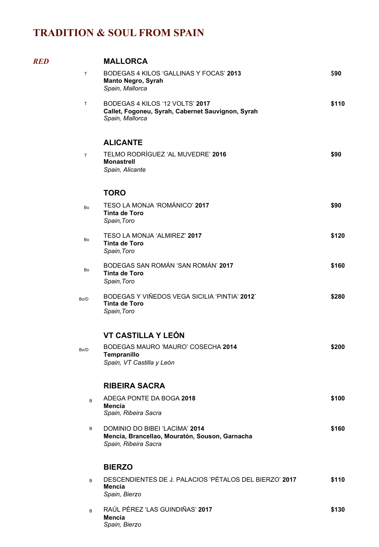| <b>RED</b> |           | <b>MALLORCA</b>                                                                                          |       |
|------------|-----------|----------------------------------------------------------------------------------------------------------|-------|
|            | T.        | BODEGAS 4 KILOS 'GALLINAS Y FOCAS' 2013<br><b>Manto Negro, Syrah</b><br>Spain, Mallorca                  | \$90  |
|            | T.        | BODEGAS 4 KILOS '12 VOLTS' 2017<br>Callet, Fogoneu, Syrah, Cabernet Sauvignon, Syrah<br>Spain, Mallorca  | \$110 |
|            |           | <b>ALICANTE</b>                                                                                          |       |
|            | T.        | TELMO RODRÍGUEZ 'AL MUVEDRE' 2016<br><b>Monastrell</b><br>Spain, Alicante                                | \$90  |
|            |           | <b>TORO</b>                                                                                              |       |
|            | <b>Bo</b> | TESO LA MONJA 'ROMÁNICO' 2017<br><b>Tinta de Toro</b><br>Spain, Toro                                     | \$90  |
|            | Bo        | TESO LA MONJA 'ALMIREZ' 2017<br><b>Tinta de Toro</b><br>Spain, Toro                                      | \$120 |
|            | Bo        | BODEGAS SAN ROMÁN 'SAN ROMÁN' 2017<br><b>Tinta de Toro</b><br>Spain, Toro                                | \$160 |
|            | Bo/D      | BODEGAS Y VIÑEDOS VEGA SICILIA 'PINTIA' 2012'<br><b>Tinta de Toro</b><br>Spain, Toro                     | \$280 |
|            |           | VT CASTILLA Y LEÓN                                                                                       |       |
|            | Bo/D      | BODEGAS MAURO 'MAURO' COSECHA 2014<br>Tempranillo<br>Spain, VT Castilla y León                           | \$200 |
|            |           | <b>RIBEIRA SACRA</b>                                                                                     |       |
|            | B         | ADEGA PONTE DA BOGA 2018<br>Mencía<br>Spain, Ribeira Sacra                                               | \$100 |
|            | В         | DOMINIO DO BIBEI 'LACIMA' 2014<br>Mencía, Brancellao, Mouratón, Souson, Garnacha<br>Spain, Ribeira Sacra | \$160 |
|            |           | <b>BIERZO</b>                                                                                            |       |
|            | B         | DESCENDIENTES DE J. PALACIOS 'PÉTALOS DEL BIERZO' 2017<br>Mencía<br>Spain, Bierzo                        | \$110 |
|            | B         | RAÚL PÉREZ 'LAS GUINDIÑAS' 2017<br>Mencía<br>Spain, Bierzo                                               | \$130 |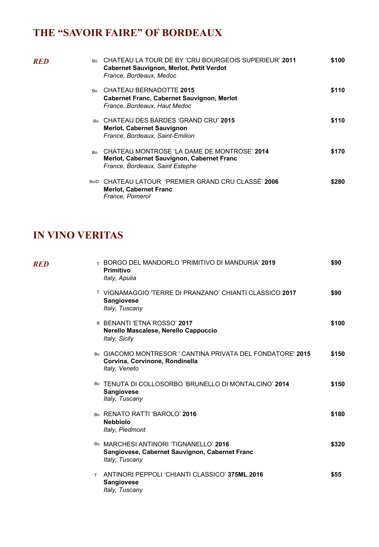# **THE "SAVOIR FAIRE" OF BORDEAUX**

| RED | Bo             | CHATEAU LA TOUR DE BY 'CRU BOURGEOIS SUPERIEUR' 2011<br><b>Cabernet Sauvignon, Merlot, Petit Verdot</b><br>France, Bordeaux, Medoc | \$100 |
|-----|----------------|------------------------------------------------------------------------------------------------------------------------------------|-------|
|     | <b>Bo</b>      | <b>CHATEAU BERNADOTTE 2015</b><br>Cabernet Franc, Cabernet Sauvignon, Merlot<br>France, Bordeaux, Haut Medoc                       | \$110 |
|     | R <sub>0</sub> | CHATEAU DES BARDES 'GRAND CRU' 2015<br><b>Merlot, Cabernet Sauvignon</b><br>France, Bordeaux, Saint-Emilion                        | \$110 |
|     | Bo             | CHATEAU MONTROSE 'LA DAME DE MONTROSE' 2014<br>Merlot, Cabernet Sauvignon, Cabernet Franc<br>France, Bordeaux, Saint Estephe       | \$170 |
|     | Bo/D           | CHATEAU LATOUR 'PREMIER GRAND CRU CLASSÉ' 2006<br><b>Merlot, Cabernet Franc</b><br>France, Pomerol                                 | \$280 |

#### **IN VINO VERITAS**

| RED | ⊤ BORGO DEL MANDORLO 'PRIMITIVO DI MANDURIA' 2019<br><b>Primitivo</b><br>Italy, Apulia                        | \$90  |
|-----|---------------------------------------------------------------------------------------------------------------|-------|
|     | <b>T VIGNAMAGGIO 'TERRE DI PRANZANO' CHIANTI CLASSICO 2017</b><br><b>Sangiovese</b><br>Italy, Tuscany         | \$90  |
|     | B BENANTI 'ETNA ROSSO' 2017<br>Nerello Mascalese, Nerello Cappuccio<br>Italy, Sicily                          | \$100 |
|     | Bo GIACOMO MONTRESOR ' CANTINA PRIVATA DEL FONDATORE' 2015<br>Corvina, Corvinone, Rondinella<br>Italy, Veneto | \$150 |
|     | Bo TENUTA DI COLLOSORBO 'BRUNELLO DI MONTALCINO' 2014<br><b>Sangiovese</b><br>Italy, Tuscany                  | \$150 |
|     | Bo RENATO RATTI 'BAROLO' 2016<br><b>Nebbiolo</b><br>Italy, Piedmont                                           | \$180 |
|     | Bo MARCHESI ANTINORI 'TIGNANELLO' 2016<br>Sangiovese, Cabernet Sauvignon, Cabernet Franc<br>Italy, Tuscany    | \$320 |
|     | ANTINORI PEPPOLI 'CHIANTI CLASSICO' 375ML 2016<br>T.<br><b>Sangiovese</b><br>Italy, Tuscany                   | \$55  |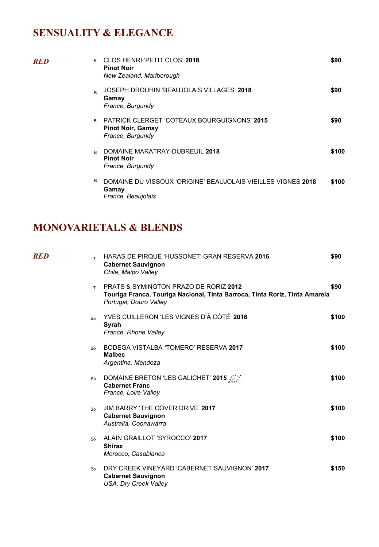# **SENSUALITY & ELEGANCE**

| RED | R. | CLOS HENRI 'PETIT CLOS' 2018<br><b>Pinot Noir</b><br>New Zealand, Marlborough                      | \$90  |
|-----|----|----------------------------------------------------------------------------------------------------|-------|
|     | R  | JOSEPH DROUHIN 'BEAUJOLAIS VILLAGES' 2018<br>Gamay<br>France, Burgundy                             | \$90  |
|     | B  | <b>PATRICK CLERGET 'COTEAUX BOURGUIGNONS' 2015</b><br><b>Pinot Noir, Gamay</b><br>France, Burgundy | \$90  |
|     | R  | DOMAINE MARATRAY-DUBREUIL 2018<br><b>Pinot Noir</b><br>France, Burgundy                            | \$100 |
|     | В  | DOMAINE DU VISSOUX 'ORIGINE' BEAUJOLAIS VIEILLES VIGNES 2018<br>Gamay<br>France, Beaujolais        | \$100 |

#### **MONOVARIETALS & BLENDS**

| RED | T.        | HARAS DE PIRQUE 'HUSSONET' GRAN RESERVA 2016<br><b>Cabernet Sauvignon</b><br>Chile, Maipo Valley                                                          | \$90  |
|-----|-----------|-----------------------------------------------------------------------------------------------------------------------------------------------------------|-------|
|     | T.        | <b>PRATS &amp; SYMINGTON PRAZO DE RORIZ 2012</b><br>Touriga Franca, Touriga Nacional, Tinta Barroca, Tinta Roriz, Tinta Amarela<br>Portugal, Douro Valley | \$90  |
|     | <b>Bo</b> | YVES CUILLERON 'LES VIGNES D'À CÔTÉ' 2016<br>Syrah<br>France, Rhone Valley                                                                                | \$100 |
|     | <b>Bo</b> | BODEGA VISTALBA 'TOMERO' RESERVA 2017<br><b>Malbec</b><br>Argentina, Mendoza                                                                              | \$100 |
|     | Bo        | DOMAINE BRETON 'LES GALICHET' 2015<br><b>Cabernet Franc</b><br>France, Loire Valley                                                                       | \$100 |
|     | <b>Bo</b> | JIM BARRY 'THE COVER DRIVE' 2017<br><b>Cabernet Sauvignon</b><br>Australia, Coonawarra                                                                    | \$100 |
|     | Bo.       | ALAIN GRAILLOT 'SYROCCO' 2017<br><b>Shiraz</b><br>Morocco, Casablanca                                                                                     | \$100 |
|     | <b>Bo</b> | DRY CREEK VINEYARD 'CABERNET SAUVIGNON' 2017<br><b>Cabernet Sauvignon</b><br>USA, Dry Creek Valley                                                        | \$150 |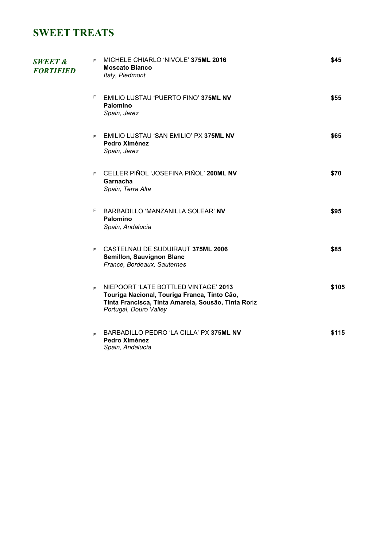### **SWEET TREATS**

| <b>SWEET &amp;</b><br><b>FORTIFIED</b> | MICHELE CHIARLO 'NIVOLE' 375ML 2016<br>F.<br><b>Moscato Bianco</b><br>Italy, Piedmont                                                                                       | \$45  |
|----------------------------------------|-----------------------------------------------------------------------------------------------------------------------------------------------------------------------------|-------|
|                                        | F.<br>EMILIO LUSTAU 'PUERTO FINO' 375ML NV<br>Palomino<br>Spain, Jerez                                                                                                      | \$55  |
|                                        | F EMILIO LUSTAU 'SAN EMILIO' PX 375ML NV<br>Pedro Ximénez<br>Spain, Jerez                                                                                                   | \$65  |
|                                        | F CELLER PIÑOL 'JOSEFINA PIÑOL' 200ML NV<br>Garnacha<br>Spain, Terra Alta                                                                                                   | \$70  |
|                                        | F.<br>BARBADILLO 'MANZANILLA SOLEAR' NV<br>Palomino<br>Spain, Andalucía                                                                                                     | \$95  |
|                                        | F CASTELNAU DE SUDUIRAUT 375ML 2006<br>Semillon, Sauvignon Blanc<br>France, Bordeaux, Sauternes                                                                             | \$85  |
|                                        | NIEPOORT 'LATE BOTTLED VINTAGE' 2013<br>E.<br>Touriga Nacional, Touriga Franca, Tinto Cão,<br>Tinta Francisca, Tinta Amarela, Sousão, Tinta Roriz<br>Portugal, Douro Valley | \$105 |
|                                        | BARBADILLO PEDRO 'LA CILLA' PX 375ML NV<br>F.<br>Pedro Ximénez<br>Spain, Andalucía                                                                                          | \$115 |